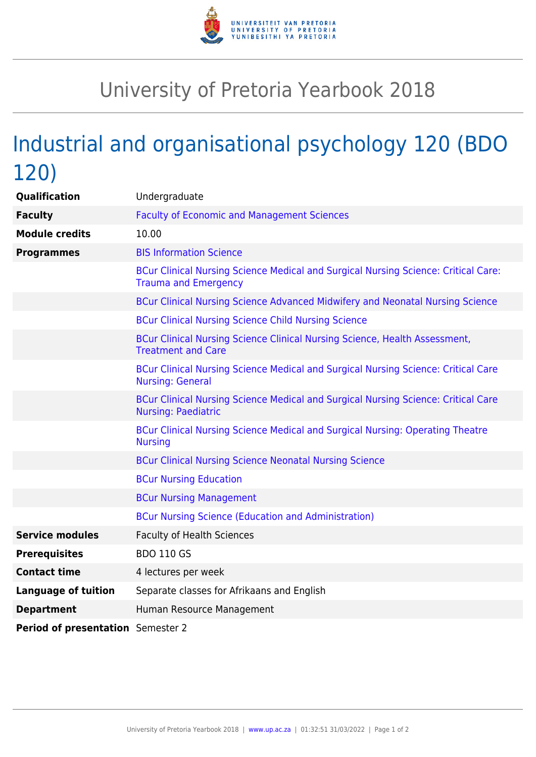

## University of Pretoria Yearbook 2018

## Industrial and organisational psychology 120 (BDO 120)

| <b>Qualification</b>              | Undergraduate                                                                                                     |
|-----------------------------------|-------------------------------------------------------------------------------------------------------------------|
| <b>Faculty</b>                    | <b>Faculty of Economic and Management Sciences</b>                                                                |
| <b>Module credits</b>             | 10.00                                                                                                             |
| <b>Programmes</b>                 | <b>BIS Information Science</b>                                                                                    |
|                                   | BCur Clinical Nursing Science Medical and Surgical Nursing Science: Critical Care:<br><b>Trauma and Emergency</b> |
|                                   | BCur Clinical Nursing Science Advanced Midwifery and Neonatal Nursing Science                                     |
|                                   | <b>BCur Clinical Nursing Science Child Nursing Science</b>                                                        |
|                                   | BCur Clinical Nursing Science Clinical Nursing Science, Health Assessment,<br><b>Treatment and Care</b>           |
|                                   | BCur Clinical Nursing Science Medical and Surgical Nursing Science: Critical Care<br><b>Nursing: General</b>      |
|                                   | BCur Clinical Nursing Science Medical and Surgical Nursing Science: Critical Care<br><b>Nursing: Paediatric</b>   |
|                                   | BCur Clinical Nursing Science Medical and Surgical Nursing: Operating Theatre<br><b>Nursing</b>                   |
|                                   | <b>BCur Clinical Nursing Science Neonatal Nursing Science</b>                                                     |
|                                   | <b>BCur Nursing Education</b>                                                                                     |
|                                   | <b>BCur Nursing Management</b>                                                                                    |
|                                   | <b>BCur Nursing Science (Education and Administration)</b>                                                        |
| <b>Service modules</b>            | <b>Faculty of Health Sciences</b>                                                                                 |
| <b>Prerequisites</b>              | <b>BDO 110 GS</b>                                                                                                 |
| <b>Contact time</b>               | 4 lectures per week                                                                                               |
| <b>Language of tuition</b>        | Separate classes for Afrikaans and English                                                                        |
| <b>Department</b>                 | Human Resource Management                                                                                         |
| Period of presentation Semester 2 |                                                                                                                   |